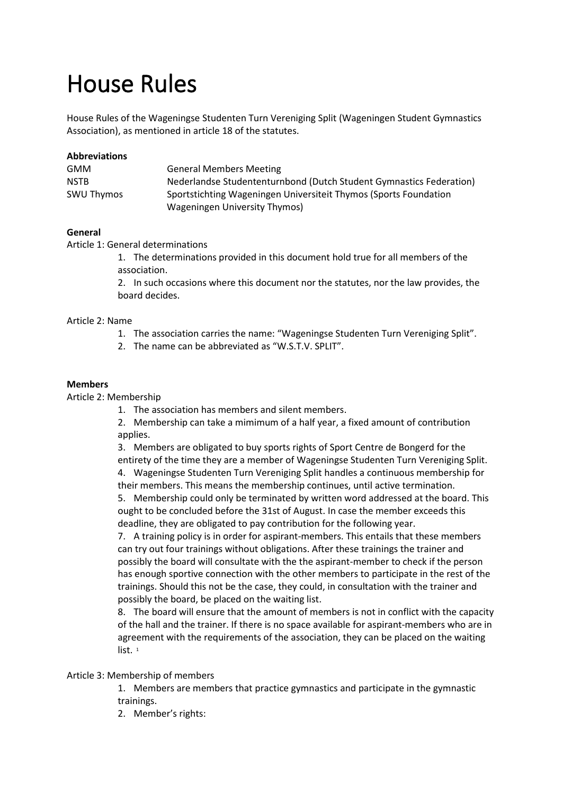# House Rules

House Rules of the Wageningse Studenten Turn Vereniging Split (Wageningen Student Gymnastics Association), as mentioned in article 18 of the statutes.

| <b>Abbreviations</b> |                                                                     |
|----------------------|---------------------------------------------------------------------|
| GMM                  | <b>General Members Meeting</b>                                      |
| <b>NSTB</b>          | Nederlandse Studententurnbond (Dutch Student Gymnastics Federation) |
| <b>SWU Thymos</b>    | Sportstichting Wageningen Universiteit Thymos (Sports Foundation    |
|                      | Wageningen University Thymos)                                       |

#### **General**

Article 1: General determinations

1. The determinations provided in this document hold true for all members of the association.

2. In such occasions where this document nor the statutes, nor the law provides, the board decides.

#### Article 2: Name

- 1. The association carries the name: "Wageningse Studenten Turn Vereniging Split".
- 2. The name can be abbreviated as "W.S.T.V. SPLIT".

#### **Members**

Article 2: Membership

1. The association has members and silent members.

2. Membership can take a mimimum of a half year, a fixed amount of contribution applies.

3. Members are obligated to buy sports rights of Sport Centre de Bongerd for the

entirety of the time they are a member of Wageningse Studenten Turn Vereniging Split. 4. Wageningse Studenten Turn Vereniging Split handles a continuous membership for their members. This means the membership continues, until active termination.

5. Membership could only be terminated by written word addressed at the board. This ought to be concluded before the 31st of August. In case the member exceeds this deadline, they are obligated to pay contribution for the following year.

7. A training policy is in order for aspirant-members. This entails that these members can try out four trainings without obligations. After these trainings the trainer and possibly the board will consultate with the the aspirant-member to check if the person has enough sportive connection with the other members to participate in the rest of the trainings. Should this not be the case, they could, in consultation with the trainer and possibly the board, be placed on the waiting list.

8. The board will ensure that the amount of members is not in conflict with the capacity of the hall and the trainer. If there is no space available for aspirant-members who are in agreement with the requirements of the association, they can be placed on the waiting list.<sup>1</sup>

#### Article 3: Membership of members

1. Members are members that practice gymnastics and participate in the gymnastic trainings.

2. Member's rights: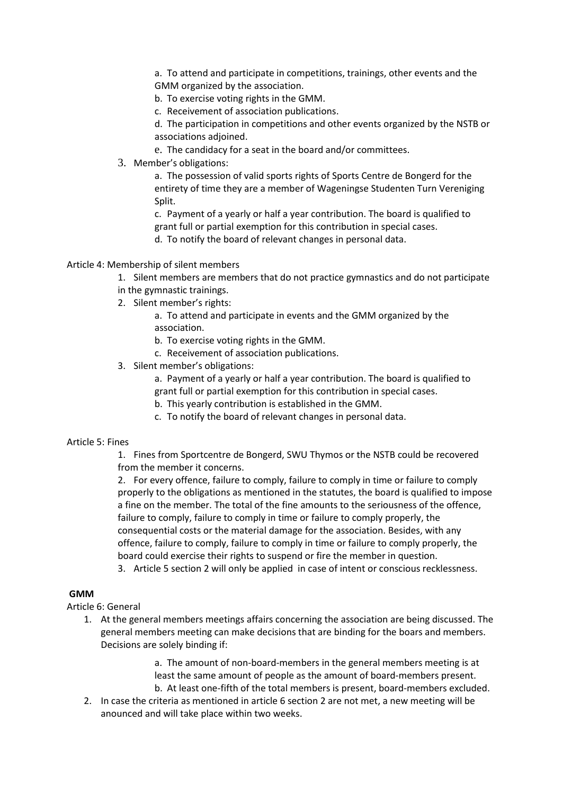a. To attend and participate in competitions, trainings, other events and the GMM organized by the association.

b. To exercise voting rights in the GMM.

c. Receivement of association publications.

d. The participation in competitions and other events organized by the NSTB or associations adjoined.

e. The candidacy for a seat in the board and/or committees.

3. Member's obligations:

a. The possession of valid sports rights of Sports Centre de Bongerd for the entirety of time they are a member of Wageningse Studenten Turn Vereniging Split.

c. Payment of a yearly or half a year contribution. The board is qualified to grant full or partial exemption for this contribution in special cases.

d. To notify the board of relevant changes in personal data.

#### Article 4: Membership of silent members

1. Silent members are members that do not practice gymnastics and do not participate in the gymnastic trainings.

- 
- 2. Silent member's rights:

a. To attend and participate in events and the GMM organized by the association.

- b. To exercise voting rights in the GMM.
- c. Receivement of association publications.
- 3. Silent member's obligations:

a. Payment of a yearly or half a year contribution. The board is qualified to grant full or partial exemption for this contribution in special cases.

- b. This yearly contribution is established in the GMM.
- c. To notify the board of relevant changes in personal data.

#### Article 5: Fines

1. Fines from Sportcentre de Bongerd, SWU Thymos or the NSTB could be recovered from the member it concerns.

2. For every offence, failure to comply, failure to comply in time or failure to comply properly to the obligations as mentioned in the statutes, the board is qualified to impose a fine on the member. The total of the fine amounts to the seriousness of the offence, failure to comply, failure to comply in time or failure to comply properly, the consequential costs or the material damage for the association. Besides, with any offence, failure to comply, failure to comply in time or failure to comply properly, the board could exercise their rights to suspend or fire the member in question.

3. Article 5 section 2 will only be applied in case of intent or conscious recklessness.

# **GMM**

Article 6: General

1. At the general members meetings affairs concerning the association are being discussed. The general members meeting can make decisions that are binding for the boars and members. Decisions are solely binding if:

> a. The amount of non-board-members in the general members meeting is at least the same amount of people as the amount of board-members present. b. At least one-fifth of the total members is present, board-members excluded.

2. In case the criteria as mentioned in article 6 section 2 are not met, a new meeting will be anounced and will take place within two weeks.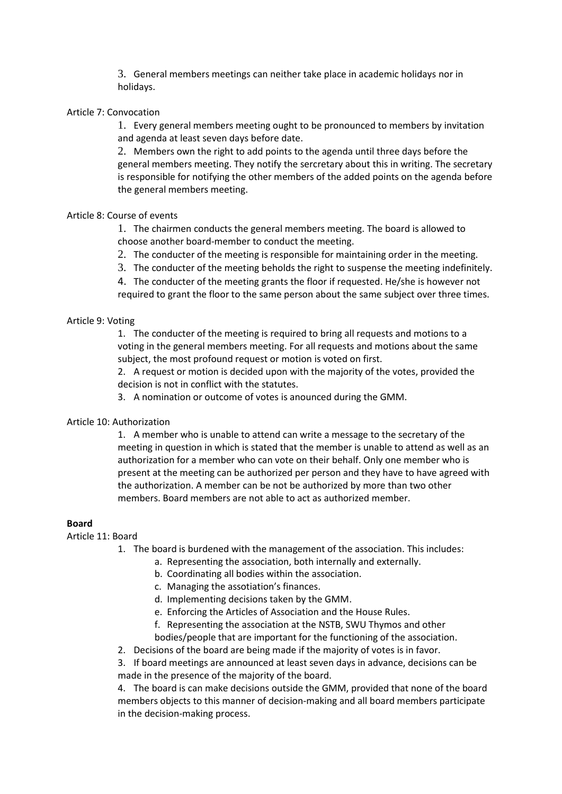3. General members meetings can neither take place in academic holidays nor in holidays.

#### Article 7: Convocation

1. Every general members meeting ought to be pronounced to members by invitation and agenda at least seven days before date.

2. Members own the right to add points to the agenda until three days before the general members meeting. They notify the sercretary about this in writing. The secretary is responsible for notifying the other members of the added points on the agenda before the general members meeting.

# Article 8: Course of events

1. The chairmen conducts the general members meeting. The board is allowed to choose another board-member to conduct the meeting.

- 2. The conducter of the meeting is responsible for maintaining order in the meeting.
- 3. The conducter of the meeting beholds the right to suspense the meeting indefinitely.

4. The conducter of the meeting grants the floor if requested. He/she is however not required to grant the floor to the same person about the same subject over three times.

# Article 9: Voting

1. The conducter of the meeting is required to bring all requests and motions to a voting in the general members meeting. For all requests and motions about the same subject, the most profound request or motion is voted on first.

2. A request or motion is decided upon with the majority of the votes, provided the decision is not in conflict with the statutes.

3. A nomination or outcome of votes is anounced during the GMM.

#### Article 10: Authorization

1. A member who is unable to attend can write a message to the secretary of the meeting in question in which is stated that the member is unable to attend as well as an authorization for a member who can vote on their behalf. Only one member who is present at the meeting can be authorized per person and they have to have agreed with the authorization. A member can be not be authorized by more than two other members. Board members are not able to act as authorized member.

#### **Board**

#### Article 11: Board

- 1. The board is burdened with the management of the association. This includes:
	- a. Representing the association, both internally and externally.
	- b. Coordinating all bodies within the association.
	- c. Managing the assotiation's finances.
	- d. Implementing decisions taken by the GMM.
	- e. Enforcing the Articles of Association and the House Rules.
	- f. Representing the association at the NSTB, SWU Thymos and other
	- bodies/people that are important for the functioning of the association.
- 2. Decisions of the board are being made if the majority of votes is in favor.

3. If board meetings are announced at least seven days in advance, decisions can be made in the presence of the majority of the board.

4. The board is can make decisions outside the GMM, provided that none of the board members objects to this manner of decision-making and all board members participate in the decision-making process.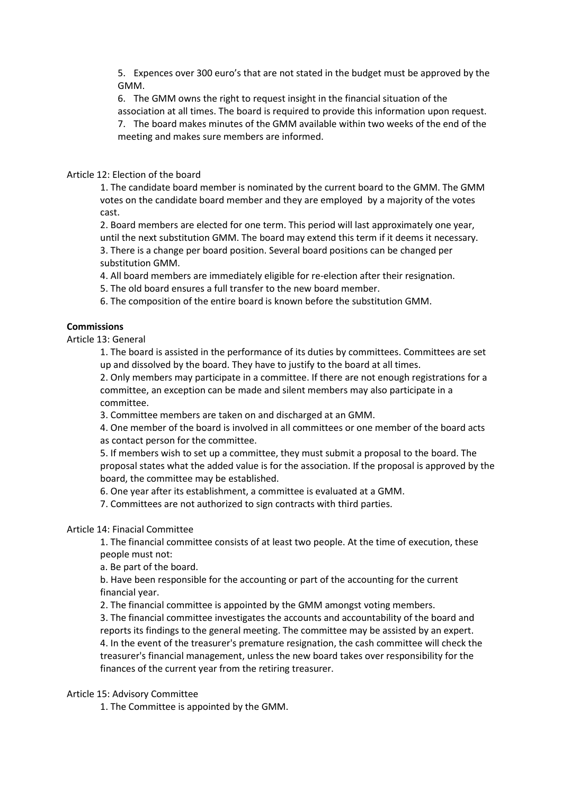5. Expences over 300 euro's that are not stated in the budget must be approved by the GMM.

6. The GMM owns the right to request insight in the financial situation of the association at all times. The board is required to provide this information upon request. 7. The board makes minutes of the GMM available within two weeks of the end of the

# Article 12: Election of the board

1. The candidate board member is nominated by the current board to the GMM. The GMM votes on the candidate board member and they are employed by a majority of the votes cast.

2. Board members are elected for one term. This period will last approximately one year, until the next substitution GMM. The board may extend this term if it deems it necessary. 3. There is a change per board position. Several board positions can be changed per substitution GMM.

4. All board members are immediately eligible for re-election after their resignation.

5. The old board ensures a full transfer to the new board member.

meeting and makes sure members are informed.

6. The composition of the entire board is known before the substitution GMM.

# **Commissions**

Article 13: General

1. The board is assisted in the performance of its duties by committees. Committees are set up and dissolved by the board. They have to justify to the board at all times.

2. Only members may participate in a committee. If there are not enough registrations for a committee, an exception can be made and silent members may also participate in a committee.

3. Committee members are taken on and discharged at an GMM.

4. One member of the board is involved in all committees or one member of the board acts as contact person for the committee.

5. If members wish to set up a committee, they must submit a proposal to the board. The proposal states what the added value is for the association. If the proposal is approved by the board, the committee may be established.

6. One year after its establishment, a committee is evaluated at a GMM.

7. Committees are not authorized to sign contracts with third parties.

#### Article 14: Finacial Committee

1. The financial committee consists of at least two people. At the time of execution, these people must not:

a. Be part of the board.

b. Have been responsible for the accounting or part of the accounting for the current financial year.

2. The financial committee is appointed by the GMM amongst voting members.

3. The financial committee investigates the accounts and accountability of the board and reports its findings to the general meeting. The committee may be assisted by an expert. 4. In the event of the treasurer's premature resignation, the cash committee will check the treasurer's financial management, unless the new board takes over responsibility for the finances of the current year from the retiring treasurer.

Article 15: Advisory Committee

1. The Committee is appointed by the GMM.